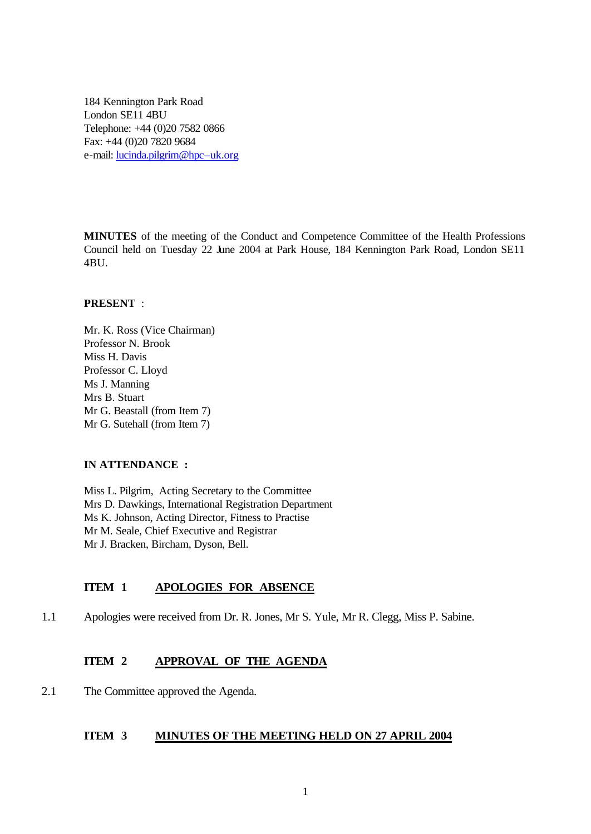184 Kennington Park Road London SE11 4BU Telephone: +44 (0)20 7582 0866 Fax: +44 (0)20 7820 9684 e-mail: lucinda.pilgrim@hpc–uk.org

**MINUTES** of the meeting of the Conduct and Competence Committee of the Health Professions Council held on Tuesday 22 June 2004 at Park House, 184 Kennington Park Road, London SE11 4BU.

#### **PRESENT** :

Mr. K. Ross (Vice Chairman) Professor N. Brook Miss H. Davis Professor C. Lloyd Ms J. Manning Mrs B. Stuart Mr G. Beastall (from Item 7) Mr G. Sutehall (from Item 7)

### **IN ATTENDANCE :**

Miss L. Pilgrim, Acting Secretary to the Committee Mrs D. Dawkings, International Registration Department Ms K. Johnson, Acting Director, Fitness to Practise Mr M. Seale, Chief Executive and Registrar Mr J. Bracken, Bircham, Dyson, Bell.

### **ITEM 1 APOLOGIES FOR ABSENCE**

1.1 Apologies were received from Dr. R. Jones, Mr S. Yule, Mr R. Clegg, Miss P. Sabine.

### **ITEM 2 APPROVAL OF THE AGENDA**

2.1 The Committee approved the Agenda.

### **ITEM 3 MINUTES OF THE MEETING HELD ON 27 APRIL 2004**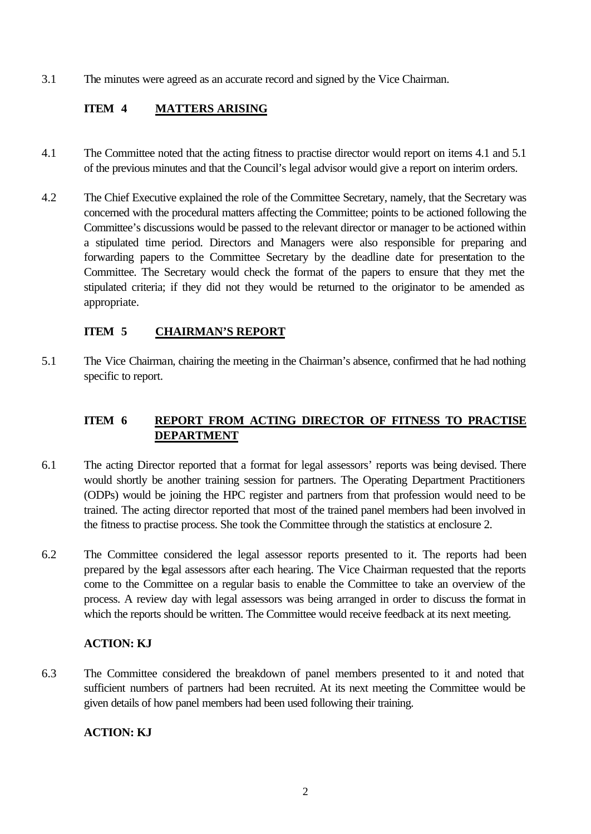3.1 The minutes were agreed as an accurate record and signed by the Vice Chairman.

## **ITEM 4 MATTERS ARISING**

- 4.1 The Committee noted that the acting fitness to practise director would report on items 4.1 and 5.1 of the previous minutes and that the Council's legal advisor would give a report on interim orders.
- 4.2 The Chief Executive explained the role of the Committee Secretary, namely, that the Secretary was concerned with the procedural matters affecting the Committee; points to be actioned following the Committee's discussions would be passed to the relevant director or manager to be actioned within a stipulated time period. Directors and Managers were also responsible for preparing and forwarding papers to the Committee Secretary by the deadline date for presentation to the Committee. The Secretary would check the format of the papers to ensure that they met the stipulated criteria; if they did not they would be returned to the originator to be amended as appropriate.

### **ITEM 5 CHAIRMAN'S REPORT**

5.1 The Vice Chairman, chairing the meeting in the Chairman's absence, confirmed that he had nothing specific to report.

## **ITEM 6 REPORT FROM ACTING DIRECTOR OF FITNESS TO PRACTISE DEPARTMENT**

- 6.1 The acting Director reported that a format for legal assessors' reports was being devised. There would shortly be another training session for partners. The Operating Department Practitioners (ODPs) would be joining the HPC register and partners from that profession would need to be trained. The acting director reported that most of the trained panel members had been involved in the fitness to practise process. She took the Committee through the statistics at enclosure 2.
- 6.2 The Committee considered the legal assessor reports presented to it. The reports had been prepared by the legal assessors after each hearing. The Vice Chairman requested that the reports come to the Committee on a regular basis to enable the Committee to take an overview of the process. A review day with legal assessors was being arranged in order to discuss the format in which the reports should be written. The Committee would receive feedback at its next meeting.

### **ACTION: KJ**

6.3 The Committee considered the breakdown of panel members presented to it and noted that sufficient numbers of partners had been recruited. At its next meeting the Committee would be given details of how panel members had been used following their training.

### **ACTION: KJ**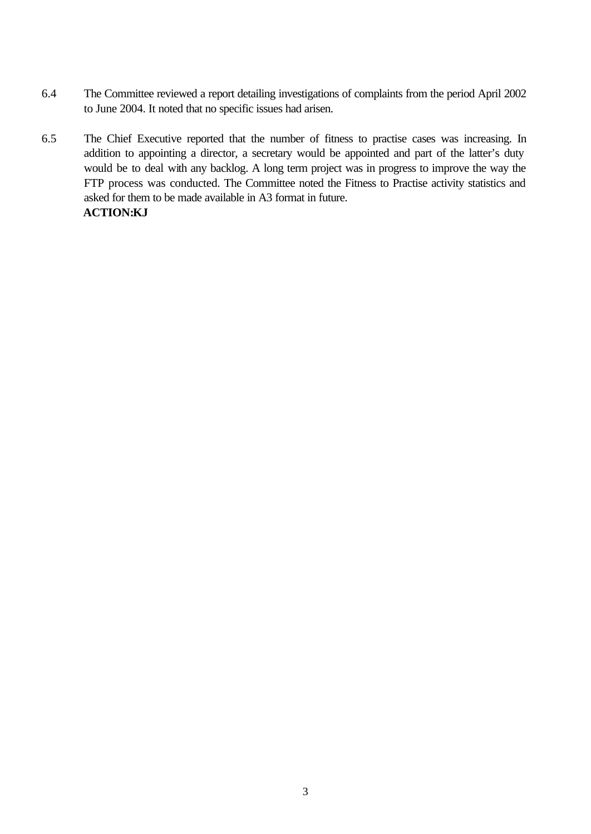- 6.4 The Committee reviewed a report detailing investigations of complaints from the period April 2002 to June 2004. It noted that no specific issues had arisen.
- 6.5 The Chief Executive reported that the number of fitness to practise cases was increasing. In addition to appointing a director, a secretary would be appointed and part of the latter's duty would be to deal with any backlog. A long term project was in progress to improve the way the FTP process was conducted. The Committee noted the Fitness to Practise activity statistics and asked for them to be made available in A3 format in future. **ACTION:KJ**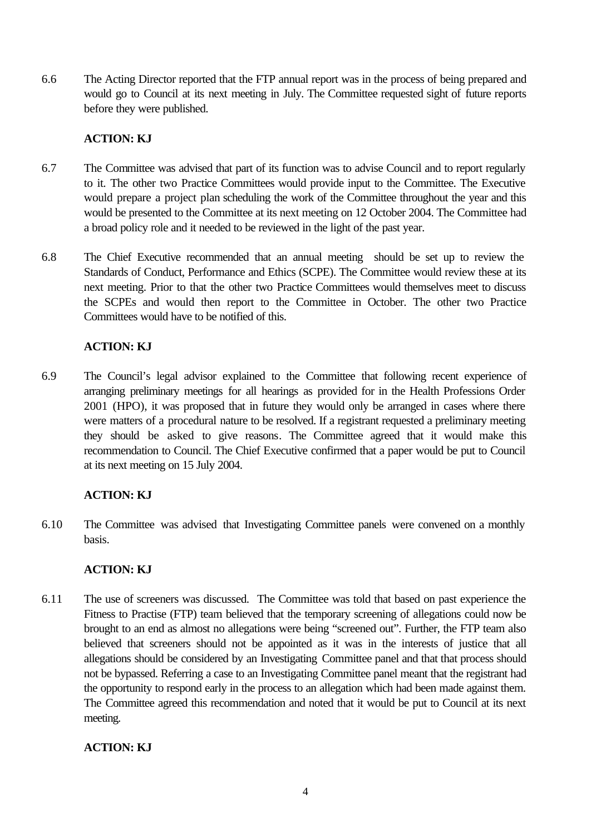6.6 The Acting Director reported that the FTP annual report was in the process of being prepared and would go to Council at its next meeting in July. The Committee requested sight of future reports before they were published.

### **ACTION: KJ**

- 6.7 The Committee was advised that part of its function was to advise Council and to report regularly to it. The other two Practice Committees would provide input to the Committee. The Executive would prepare a project plan scheduling the work of the Committee throughout the year and this would be presented to the Committee at its next meeting on 12 October 2004. The Committee had a broad policy role and it needed to be reviewed in the light of the past year.
- 6.8 The Chief Executive recommended that an annual meeting should be set up to review the Standards of Conduct, Performance and Ethics (SCPE). The Committee would review these at its next meeting. Prior to that the other two Practice Committees would themselves meet to discuss the SCPEs and would then report to the Committee in October. The other two Practice Committees would have to be notified of this.

# **ACTION: KJ**

6.9 The Council's legal advisor explained to the Committee that following recent experience of arranging preliminary meetings for all hearings as provided for in the Health Professions Order 2001 (HPO), it was proposed that in future they would only be arranged in cases where there were matters of a procedural nature to be resolved. If a registrant requested a preliminary meeting they should be asked to give reasons. The Committee agreed that it would make this recommendation to Council. The Chief Executive confirmed that a paper would be put to Council at its next meeting on 15 July 2004.

## **ACTION: KJ**

6.10 The Committee was advised that Investigating Committee panels were convened on a monthly basis.

## **ACTION: KJ**

6.11 The use of screeners was discussed. The Committee was told that based on past experience the Fitness to Practise (FTP) team believed that the temporary screening of allegations could now be brought to an end as almost no allegations were being "screened out". Further, the FTP team also believed that screeners should not be appointed as it was in the interests of justice that all allegations should be considered by an Investigating Committee panel and that that process should not be bypassed. Referring a case to an Investigating Committee panel meant that the registrant had the opportunity to respond early in the process to an allegation which had been made against them. The Committee agreed this recommendation and noted that it would be put to Council at its next meeting.

## **ACTION: KJ**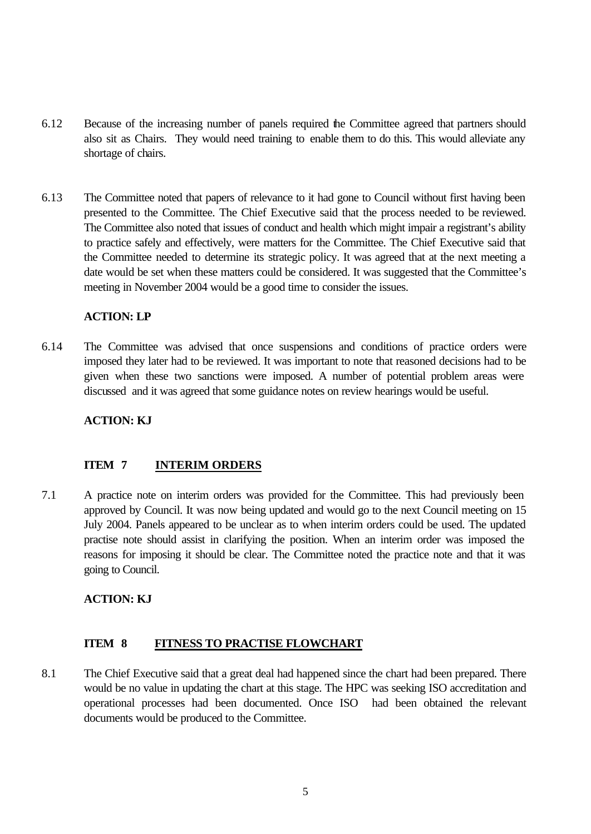- 6.12 Because of the increasing number of panels required the Committee agreed that partners should also sit as Chairs. They would need training to enable them to do this. This would alleviate any shortage of chairs.
- 6.13 The Committee noted that papers of relevance to it had gone to Council without first having been presented to the Committee. The Chief Executive said that the process needed to be reviewed. The Committee also noted that issues of conduct and health which might impair a registrant's ability to practice safely and effectively, were matters for the Committee. The Chief Executive said that the Committee needed to determine its strategic policy. It was agreed that at the next meeting a date would be set when these matters could be considered. It was suggested that the Committee's meeting in November 2004 would be a good time to consider the issues.

### **ACTION: LP**

6.14 The Committee was advised that once suspensions and conditions of practice orders were imposed they later had to be reviewed. It was important to note that reasoned decisions had to be given when these two sanctions were imposed. A number of potential problem areas were discussed and it was agreed that some guidance notes on review hearings would be useful.

### **ACTION: KJ**

### **ITEM 7 INTERIM ORDERS**

7.1 A practice note on interim orders was provided for the Committee. This had previously been approved by Council. It was now being updated and would go to the next Council meeting on 15 July 2004. Panels appeared to be unclear as to when interim orders could be used. The updated practise note should assist in clarifying the position. When an interim order was imposed the reasons for imposing it should be clear. The Committee noted the practice note and that it was going to Council.

### **ACTION: KJ**

### **ITEM 8 FITNESS TO PRACTISE FLOWCHART**

8.1 The Chief Executive said that a great deal had happened since the chart had been prepared. There would be no value in updating the chart at this stage. The HPC was seeking ISO accreditation and operational processes had been documented. Once ISO had been obtained the relevant documents would be produced to the Committee.